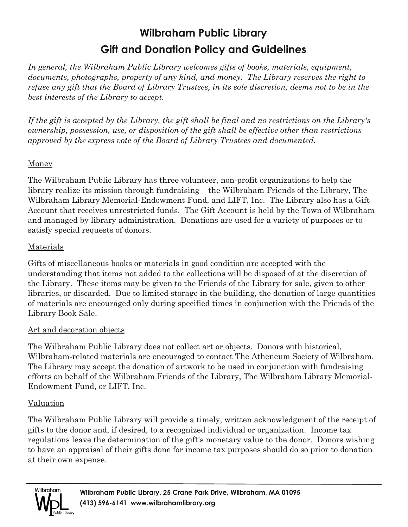# **Wilbraham Public Library Gift and Donation Policy and Guidelines**

*In general, the Wilbraham Public Library welcomes gifts of books, materials, equipment, documents, photographs, property of any kind, and money. The Library reserves the right to* refuse any gift that the Board of Library Trustees, in its sole discretion, deems not to be in the *best interests of the Library to accept.*

If the gift is accepted by the Library, the gift shall be final and no restrictions on the Library's *ownership, possession, use, or disposition of the gift shall be effective other than restrictions approved by the express vote of the Board of Library Trustees and documented.*

### Money

The Wilbraham Public Library has three volunteer, non-profit organizations to help the library realize its mission through fundraising – the Wilbraham Friends of the Library, The Wilbraham Library Memorial-Endowment Fund, and LIFT, Inc. The Library also has a Gift Account that receives unrestricted funds. The Gift Account is held by the Town of Wilbraham and managed by library administration. Donations are used for a variety of purposes or to satisfy special requests of donors.

### Materials

Gifts of miscellaneous books or materials in good condition are accepted with the understanding that items not added to the collections will be disposed of at the discretion of the Library. These items may be given to the Friends of the Library for sale, given to other libraries, or discarded. Due to limited storage in the building, the donation of large quantities of materials are encouraged only during specified times in conjunction with the Friends of the Library Book Sale.

### Art and decoration objects

The Wilbraham Public Library does not collect art or objects. Donors with historical, Wilbraham-related materials are encouraged to contact The Atheneum Society of Wilbraham. The Library may accept the donation of artwork to be used in conjunction with fundraising efforts on behalf of the Wilbraham Friends of the Library, The Wilbraham Library Memorial-Endowment Fund, or LIFT, Inc.

## Valuation

The Wilbraham Public Library will provide a timely, written acknowledgment of the receipt of gifts to the donor and, if desired, to a recognized individual or organization. Income tax regulations leave the determination of the gift's monetary value to the donor. Donors wishing to have an appraisal of their gifts done for income tax purposes should do so prior to donation at their own expense.